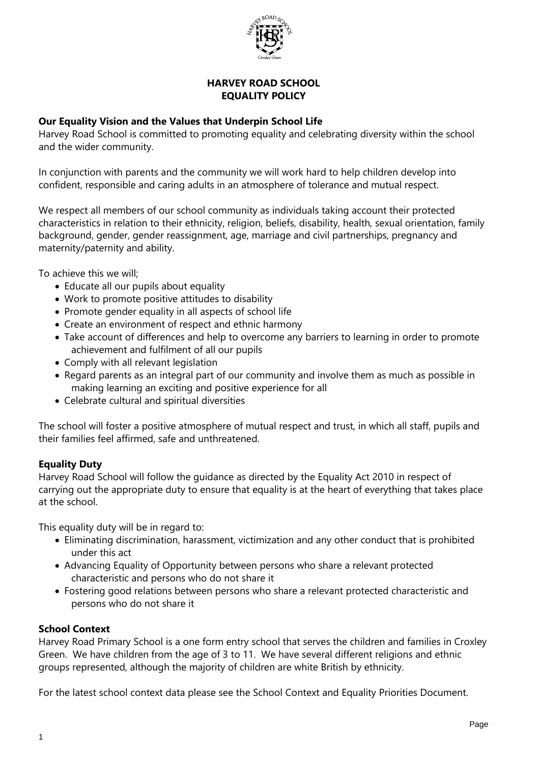

#### **HARVEY ROAD SCHOOL EQUALITY POLICY**

### **Our Equality Vision and the Values that Underpin School Life**

Harvey Road School is committed to promoting equality and celebrating diversity within the school and the wider community.

In conjunction with parents and the community we will work hard to help children develop into confident, responsible and caring adults in an atmosphere of tolerance and mutual respect.

We respect all members of our school community as individuals taking account their protected characteristics in relation to their ethnicity, religion, beliefs, disability, health, sexual orientation, family background, gender, gender reassignment, age, marriage and civil partnerships, pregnancy and maternity/paternity and ability.

To achieve this we will;

- Educate all our pupils about equality
- Work to promote positive attitudes to disability
- Promote gender equality in all aspects of school life
- Create an environment of respect and ethnic harmony
- Take account of differences and help to overcome any barriers to learning in order to promote achievement and fulfilment of all our pupils
- Comply with all relevant legislation
- Regard parents as an integral part of our community and involve them as much as possible in making learning an exciting and positive experience for all
- Celebrate cultural and spiritual diversities

The school will foster a positive atmosphere of mutual respect and trust, in which all staff, pupils and their families feel affirmed, safe and unthreatened.

### **Equality Duty**

Harvey Road School will follow the guidance as directed by the Equality Act 2010 in respect of carrying out the appropriate duty to ensure that equality is at the heart of everything that takes place at the school.

This equality duty will be in regard to:

- Eliminating discrimination, harassment, victimization and any other conduct that is prohibited under this act
- Advancing Equality of Opportunity between persons who share a relevant protected characteristic and persons who do not share it
- Fostering good relations between persons who share a relevant protected characteristic and persons who do not share it

### **School Context**

Harvey Road Primary School is a one form entry school that serves the children and families in Croxley Green. We have children from the age of 3 to 11. We have several different religions and ethnic groups represented, although the majority of children are white British by ethnicity.

For the latest school context data please see the School Context and Equality Priorities Document.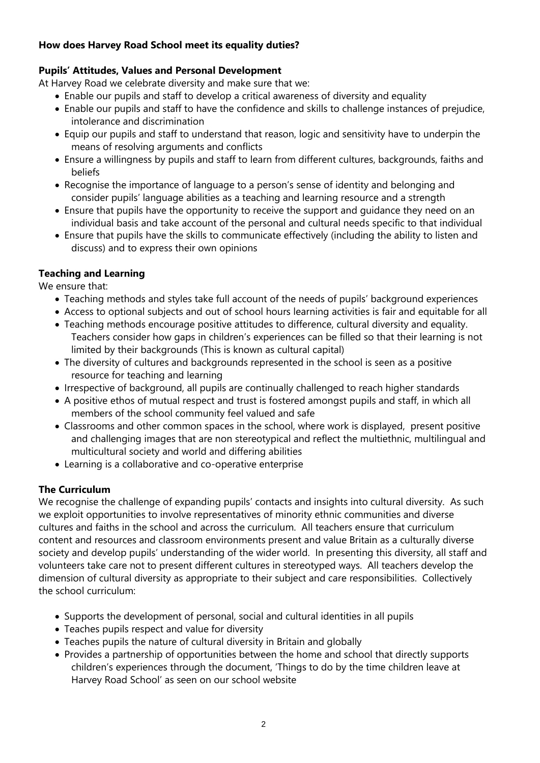## **How does Harvey Road School meet its equality duties?**

# **Pupils' Attitudes, Values and Personal Development**

At Harvey Road we celebrate diversity and make sure that we:

- Enable our pupils and staff to develop a critical awareness of diversity and equality
- Enable our pupils and staff to have the confidence and skills to challenge instances of prejudice, intolerance and discrimination
- Equip our pupils and staff to understand that reason, logic and sensitivity have to underpin the means of resolving arguments and conflicts
- Ensure a willingness by pupils and staff to learn from different cultures, backgrounds, faiths and beliefs
- Recognise the importance of language to a person's sense of identity and belonging and consider pupils' language abilities as a teaching and learning resource and a strength
- Ensure that pupils have the opportunity to receive the support and guidance they need on an individual basis and take account of the personal and cultural needs specific to that individual
- Ensure that pupils have the skills to communicate effectively (including the ability to listen and discuss) and to express their own opinions

# **Teaching and Learning**

We ensure that:

- Teaching methods and styles take full account of the needs of pupils' background experiences
- Access to optional subjects and out of school hours learning activities is fair and equitable for all
- Teaching methods encourage positive attitudes to difference, cultural diversity and equality. Teachers consider how gaps in children's experiences can be filled so that their learning is not limited by their backgrounds (This is known as cultural capital)
- The diversity of cultures and backgrounds represented in the school is seen as a positive resource for teaching and learning
- Irrespective of background, all pupils are continually challenged to reach higher standards
- A positive ethos of mutual respect and trust is fostered amongst pupils and staff, in which all members of the school community feel valued and safe
- Classrooms and other common spaces in the school, where work is displayed, present positive and challenging images that are non stereotypical and reflect the multiethnic, multilingual and multicultural society and world and differing abilities
- Learning is a collaborative and co-operative enterprise

# **The Curriculum**

We recognise the challenge of expanding pupils' contacts and insights into cultural diversity. As such we exploit opportunities to involve representatives of minority ethnic communities and diverse cultures and faiths in the school and across the curriculum. All teachers ensure that curriculum content and resources and classroom environments present and value Britain as a culturally diverse society and develop pupils' understanding of the wider world. In presenting this diversity, all staff and volunteers take care not to present different cultures in stereotyped ways.All teachers develop the dimension of cultural diversity as appropriate to their subject and care responsibilities. Collectively the school curriculum:

- Supports the development of personal, social and cultural identities in all pupils
- Teaches pupils respect and value for diversity
- Teaches pupils the nature of cultural diversity in Britain and globally
- Provides a partnership of opportunities between the home and school that directly supports children's experiences through the document, 'Things to do by the time children leave at Harvey Road School' as seen on our school website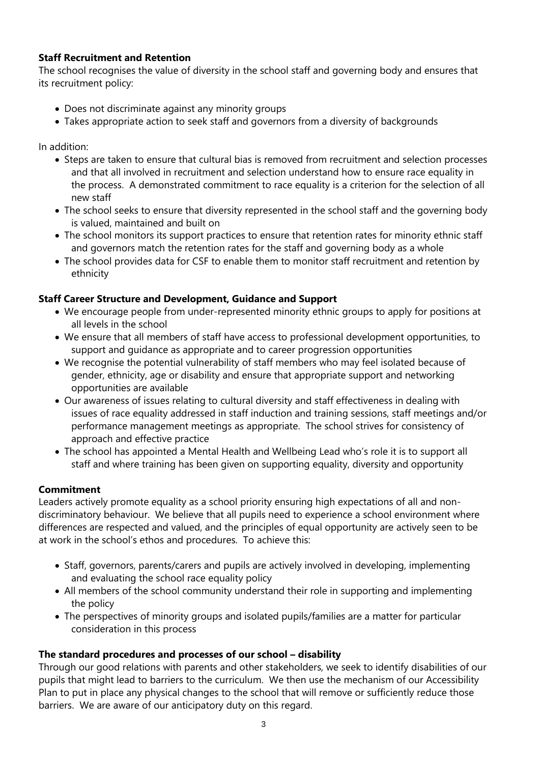## **Staff Recruitment and Retention**

The school recognises the value of diversity in the school staff and governing body and ensures that its recruitment policy:

- Does not discriminate against any minority groups
- Takes appropriate action to seek staff and governors from a diversity of backgrounds

In addition:

- Steps are taken to ensure that cultural bias is removed from recruitment and selection processes and that all involved in recruitment and selection understand how to ensure race equality in the process. A demonstrated commitment to race equality is a criterion for the selection of all new staff
- The school seeks to ensure that diversity represented in the school staff and the governing body is valued, maintained and built on
- The school monitors its support practices to ensure that retention rates for minority ethnic staff and governors match the retention rates for the staff and governing body as a whole
- The school provides data for CSF to enable them to monitor staff recruitment and retention by ethnicity

#### **Staff Career Structure and Development, Guidance and Support**

- We encourage people from under-represented minority ethnic groups to apply for positions at all levels in the school
- We ensure that all members of staff have access to professional development opportunities, to support and guidance as appropriate and to career progression opportunities
- We recognise the potential vulnerability of staff members who may feel isolated because of gender, ethnicity, age or disability and ensure that appropriate support and networking opportunities are available
- Our awareness of issues relating to cultural diversity and staff effectiveness in dealing with issues of race equality addressed in staff induction and training sessions, staff meetings and/or performance management meetings as appropriate. The school strives for consistency of approach and effective practice
- The school has appointed a Mental Health and Wellbeing Lead who's role it is to support all staff and where training has been given on supporting equality, diversity and opportunity

### **Commitment**

Leaders actively promote equality as a school priority ensuring high expectations of all and nondiscriminatory behaviour. We believe that all pupils need to experience a school environment where differences are respected and valued, and the principles of equal opportunity are actively seen to be at work in the school's ethos and procedures. To achieve this:

- Staff, governors, parents/carers and pupils are actively involved in developing, implementing and evaluating the school race equality policy
- All members of the school community understand their role in supporting and implementing the policy
- The perspectives of minority groups and isolated pupils/families are a matter for particular consideration in this process

### **The standard procedures and processes of our school – disability**

Through our good relations with parents and other stakeholders, we seek to identify disabilities of our pupils that might lead to barriers to the curriculum. We then use the mechanism of our Accessibility Plan to put in place any physical changes to the school that will remove or sufficiently reduce those barriers. We are aware of our anticipatory duty on this regard.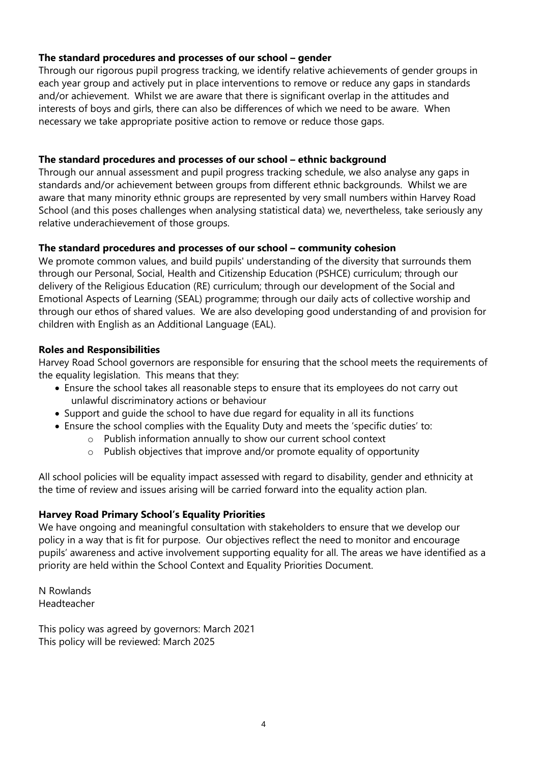## **The standard procedures and processes of our school – gender**

Through our rigorous pupil progress tracking, we identify relative achievements of gender groups in each year group and actively put in place interventions to remove or reduce any gaps in standards and/or achievement. Whilst we are aware that there is significant overlap in the attitudes and interests of boys and girls, there can also be differences of which we need to be aware. When necessary we take appropriate positive action to remove or reduce those gaps.

## **The standard procedures and processes of our school – ethnic background**

Through our annual assessment and pupil progress tracking schedule, we also analyse any gaps in standards and/or achievement between groups from different ethnic backgrounds. Whilst we are aware that many minority ethnic groups are represented by very small numbers within Harvey Road School (and this poses challenges when analysing statistical data) we, nevertheless, take seriously any relative underachievement of those groups.

## **The standard procedures and processes of our school – community cohesion**

We promote common values, and build pupils' understanding of the diversity that surrounds them through our Personal, Social, Health and Citizenship Education (PSHCE) curriculum; through our delivery of the Religious Education (RE) curriculum; through our development of the Social and Emotional Aspects of Learning (SEAL) programme; through our daily acts of collective worship and through our ethos of shared values. We are also developing good understanding of and provision for children with English as an Additional Language (EAL).

## **Roles and Responsibilities**

Harvey Road School governors are responsible for ensuring that the school meets the requirements of the equality legislation. This means that they:

- Ensure the school takes all reasonable steps to ensure that its employees do not carry out unlawful discriminatory actions or behaviour
- Support and quide the school to have due regard for equality in all its functions
- Ensure the school complies with the Equality Duty and meets the 'specific duties' to:
	- o Publish information annually to show our current school context
	- o Publish objectives that improve and/or promote equality of opportunity

All school policies will be equality impact assessed with regard to disability, gender and ethnicity at the time of review and issues arising will be carried forward into the equality action plan.

# **Harvey Road Primary School's Equality Priorities**

We have ongoing and meaningful consultation with stakeholders to ensure that we develop our policy in a way that is fit for purpose. Our objectives reflect the need to monitor and encourage pupils' awareness and active involvement supporting equality for all. The areas we have identified as a priority are held within the School Context and Equality Priorities Document.

N Rowlands Headteacher

This policy was agreed by governors: March 2021 This policy will be reviewed: March 2025